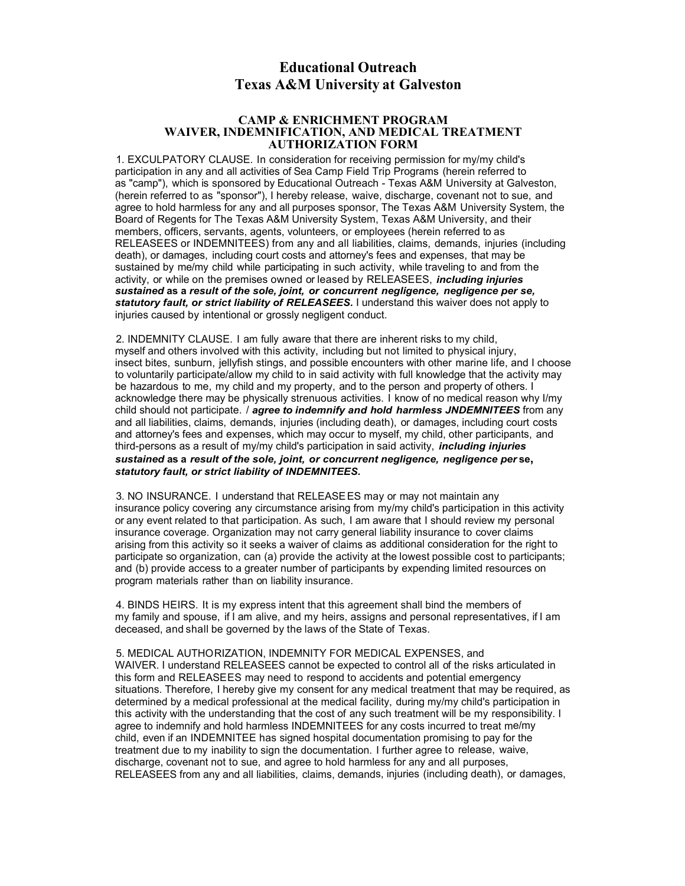## **Educational Outreach Texas A&M University at Galveston**

## **CAMP & ENRICHMENT PROGRAM WAIVER, INDEMNIFICATION, AND MEDICAL TREATMENT AUTHORIZATION FORM**

1. EXCULPATORY CLAUSE. In consideration for receiving permission for my/my child's participation in any and all activities of Sea Camp Field Trip Programs (herein referred to as "camp"), which is sponsored by Educational Outreach - Texas A&M University at Galveston, (herein referred to as "sponsor"), I hereby release, waive, discharge, covenant not to sue, and agree to hold harmless for any and all purposes sponsor, The Texas A&M University System, the Board of Regents for The Texas A&M University System, Texas A&M University, and their members, officers, servants, agents, volunteers, or employees (herein referred to as RELEASEES or INDEMNITEES) from any and all liabilities, claims, demands, injuries (including death), or damages, including court costs and attorney's fees and expenses, that may be sustained by me/my child while participating in such activity, while traveling to and from the activity, or while on the premises owned or leased by RELEASEES, *including injuries sustained* **as a** *result of the sole, joint, or concurrent negligence, negligence per se, statutory fault, or strict liability of RELEASEES.* I understand this waiver does not apply to injuries caused by intentional or grossly negligent conduct.

2. INDEMNITY CLAUSE. I am fully aware that there are inherent risks to my child, myself and others involved with this activity, including but not limited to physical injury, insect bites, sunburn, jellyfish stings, and possible encounters with other marine life, and I choose to voluntarily participate/allow my child to in said activity with full knowledge that the activity may be hazardous to me, my child and my property, and to the person and property of others. I acknowledge there may be physically strenuous activities. I know of no medical reason why I/my child should not participate. / *agree to indemnify and hold harmless JNDEMNITEES* from any and all liabilities, claims, demands, injuries (including death), or damages, including court costs and attorney's fees and expenses, which may occur to myself, my child, other participants, and third-persons as a result of my/my child's participation in said activity, *including injuries sustained* **as a** *result of the sole, joint, or concurrent negligence, negligence per* **se,** *statutory fault, or strict liability of INDEMNITEES.*

3. NO INSURANCE. I understand that RELEASEES may or may not maintain any insurance policy covering any circumstance arising from my/my child's participation in this activity or any event related to that participation. As such, I am aware that I should review my personal insurance coverage. Organization may not carry general liability insurance to cover claims arising from this activity so it seeks a waiver of claims as additional consideration for the right to participate so organization, can (a) provide the activity at the lowest possible cost to participants; and (b) provide access to a greater number of participants by expending limited resources on program materials rather than on liability insurance.

4. BINDS HEIRS. It is my express intent that this agreement shall bind the members of my family and spouse, if I am alive, and my heirs, assigns and personal representatives, if I am deceased, and shall be governed by the laws of the State of Texas.

5. MEDICAL AUTHORIZATION, INDEMNITY FOR MEDICAL EXPENSES, and WAIVER. I understand RELEASEES cannot be expected to control all of the risks articulated in this form and RELEASEES may need to respond to accidents and potential emergency situations. Therefore, I hereby give my consent for any medical treatment that may be required, as determined by a medical professional at the medical facility, during my/my child's participation in this activity with the understanding that the cost of any such treatment will be my responsibility. I agree to indemnify and hold harmless INDEMNITEES for any costs incurred to treat me/my child, even if an INDEMNITEE has signed hospital documentation promising to pay for the treatment due to my inability to sign the documentation. I further agree to release, waive, discharge, covenant not to sue, and agree to hold harmless for any and all purposes, RELEASEES from any and all liabilities, claims, demands, injuries (including death), or damages,